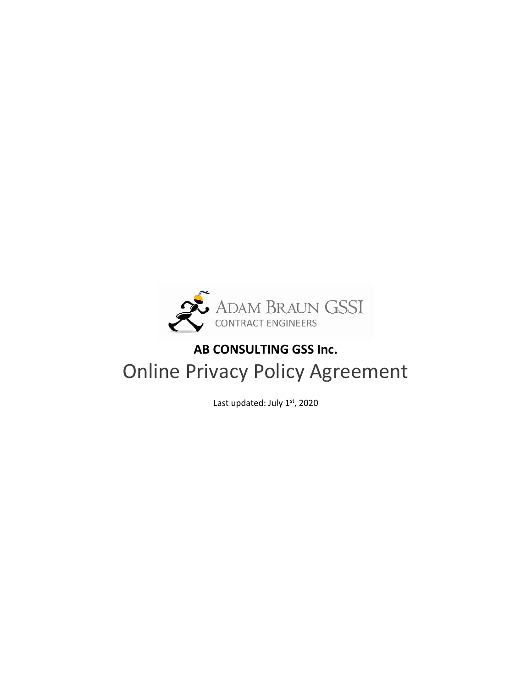

# AB CONSULTING GSS Inc. Online Privacy Policy Agreement

Last updated: July 1st, 2020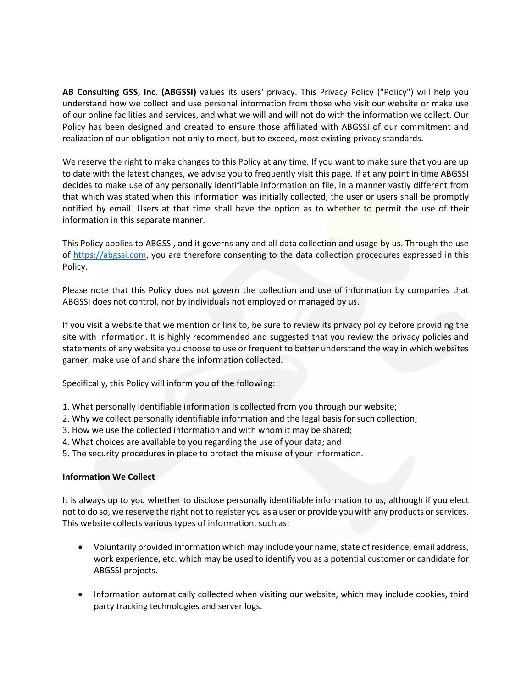AB Consulting GSS, Inc. (ABGSSI) values its users' privacy. This Privacy Policy ("Policy") will help you understand how we collect and use personal information from those who visit our website or make use of our online facilities and services, and what we will and will not do with the information we collect. Our Policy has been designed and created to ensure those affiliated with ABGSSI of our commitment and realization of our obligation not only to meet, but to exceed, most existing privacy standards.

We reserve the right to make changes to this Policy at any time. If you want to make sure that you are up to date with the latest changes, we advise you to frequently visit this page. If at any point in time ABGSSI decides to make use of any personally identifiable information on file, in a manner vastly different from that which was stated when this information was initially collected, the user or users shall be promptly notified by email. Users at that time shall have the option as to whether to permit the use of their information in this separate manner.

This Policy applies to ABGSSI, and it governs any and all data collection and usage by us. Through the use of https://abgssi.com, you are therefore consenting to the data collection procedures expressed in this Policy.

Please note that this Policy does not govern the collection and use of information by companies that ABGSSI does not control, nor by individuals not employed or managed by us.

If you visit a website that we mention or link to, be sure to review its privacy policy before providing the site with information. It is highly recommended and suggested that you review the privacy policies and statements of any website you choose to use or frequent to better understand the way in which websites garner, make use of and share the information collected.

Specifically, this Policy will inform you of the following:

- 1. What personally identifiable information is collected from you through our website;
- 2. Why we collect personally identifiable information and the legal basis for such collection;
- 3. How we use the collected information and with whom it may be shared;
- 4. What choices are available to you regarding the use of your data; and
- 5. The security procedures in place to protect the misuse of your information.

#### Information We Collect

It is always up to you whether to disclose personally identifiable information to us, although if you elect not to do so, we reserve the right not to register you as a user or provide you with any products or services. This website collects various types of information, such as:

- Voluntarily provided information which may include your name, state of residence, email address, work experience, etc. which may be used to identify you as a potential customer or candidate for ABGSSI projects.
- Information automatically collected when visiting our website, which may include cookies, third party tracking technologies and server logs.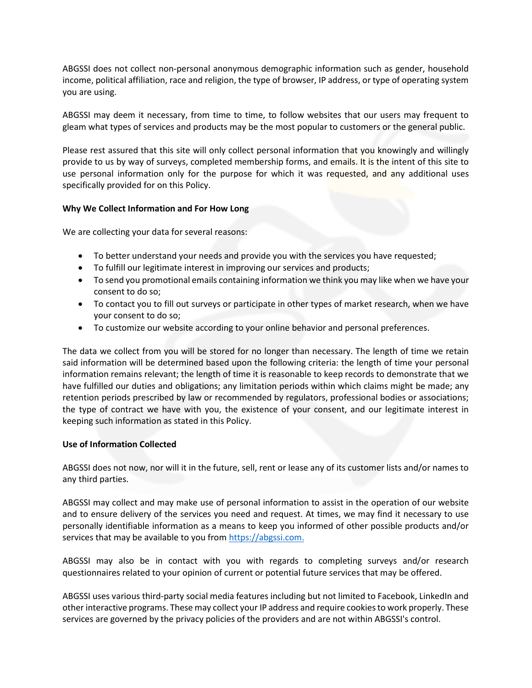ABGSSI does not collect non-personal anonymous demographic information such as gender, household income, political affiliation, race and religion, the type of browser, IP address, or type of operating system you are using.

ABGSSI may deem it necessary, from time to time, to follow websites that our users may frequent to gleam what types of services and products may be the most popular to customers or the general public.

Please rest assured that this site will only collect personal information that you knowingly and willingly provide to us by way of surveys, completed membership forms, and emails. It is the intent of this site to use personal information only for the purpose for which it was requested, and any additional uses specifically provided for on this Policy.

# Why We Collect Information and For How Long

We are collecting your data for several reasons:

- To better understand your needs and provide you with the services you have requested;
- To fulfill our legitimate interest in improving our services and products;
- To send you promotional emails containing information we think you may like when we have your consent to do so;
- To contact you to fill out surveys or participate in other types of market research, when we have your consent to do so;
- To customize our website according to your online behavior and personal preferences.

The data we collect from you will be stored for no longer than necessary. The length of time we retain said information will be determined based upon the following criteria: the length of time your personal information remains relevant; the length of time it is reasonable to keep records to demonstrate that we have fulfilled our duties and obligations; any limitation periods within which claims might be made; any retention periods prescribed by law or recommended by regulators, professional bodies or associations; the type of contract we have with you, the existence of your consent, and our legitimate interest in keeping such information as stated in this Policy.

# Use of Information Collected

ABGSSI does not now, nor will it in the future, sell, rent or lease any of its customer lists and/or names to any third parties.

ABGSSI may collect and may make use of personal information to assist in the operation of our website and to ensure delivery of the services you need and request. At times, we may find it necessary to use personally identifiable information as a means to keep you informed of other possible products and/or services that may be available to you from https://abgssi.com.

ABGSSI may also be in contact with you with regards to completing surveys and/or research questionnaires related to your opinion of current or potential future services that may be offered.

ABGSSI uses various third-party social media features including but not limited to Facebook, LinkedIn and other interactive programs. These may collect your IP address and require cookies to work properly. These services are governed by the privacy policies of the providers and are not within ABGSSI's control.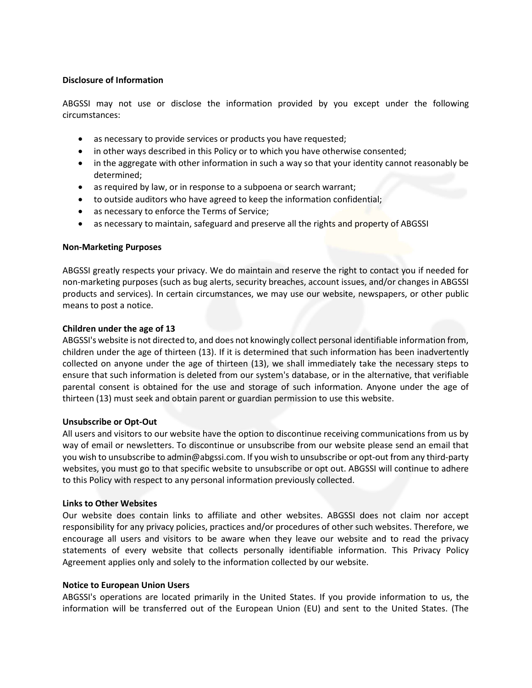## Disclosure of Information

ABGSSI may not use or disclose the information provided by you except under the following circumstances:

- as necessary to provide services or products you have requested;
- in other ways described in this Policy or to which you have otherwise consented;
- in the aggregate with other information in such a way so that your identity cannot reasonably be determined;
- as required by law, or in response to a subpoena or search warrant;
- to outside auditors who have agreed to keep the information confidential;
- as necessary to enforce the Terms of Service;
- as necessary to maintain, safeguard and preserve all the rights and property of ABGSSI

#### Non-Marketing Purposes

ABGSSI greatly respects your privacy. We do maintain and reserve the right to contact you if needed for non-marketing purposes (such as bug alerts, security breaches, account issues, and/or changes in ABGSSI products and services). In certain circumstances, we may use our website, newspapers, or other public means to post a notice.

#### Children under the age of 13

ABGSSI's website is not directed to, and does not knowingly collect personal identifiable information from, children under the age of thirteen (13). If it is determined that such information has been inadvertently collected on anyone under the age of thirteen (13), we shall immediately take the necessary steps to ensure that such information is deleted from our system's database, or in the alternative, that verifiable parental consent is obtained for the use and storage of such information. Anyone under the age of thirteen (13) must seek and obtain parent or guardian permission to use this website.

#### Unsubscribe or Opt-Out

All users and visitors to our website have the option to discontinue receiving communications from us by way of email or newsletters. To discontinue or unsubscribe from our website please send an email that you wish to unsubscribe to admin@abgssi.com. If you wish to unsubscribe or opt-out from any third-party websites, you must go to that specific website to unsubscribe or opt out. ABGSSI will continue to adhere to this Policy with respect to any personal information previously collected.

#### Links to Other Websites

Our website does contain links to affiliate and other websites. ABGSSI does not claim nor accept responsibility for any privacy policies, practices and/or procedures of other such websites. Therefore, we encourage all users and visitors to be aware when they leave our website and to read the privacy statements of every website that collects personally identifiable information. This Privacy Policy Agreement applies only and solely to the information collected by our website.

#### Notice to European Union Users

ABGSSI's operations are located primarily in the United States. If you provide information to us, the information will be transferred out of the European Union (EU) and sent to the United States. (The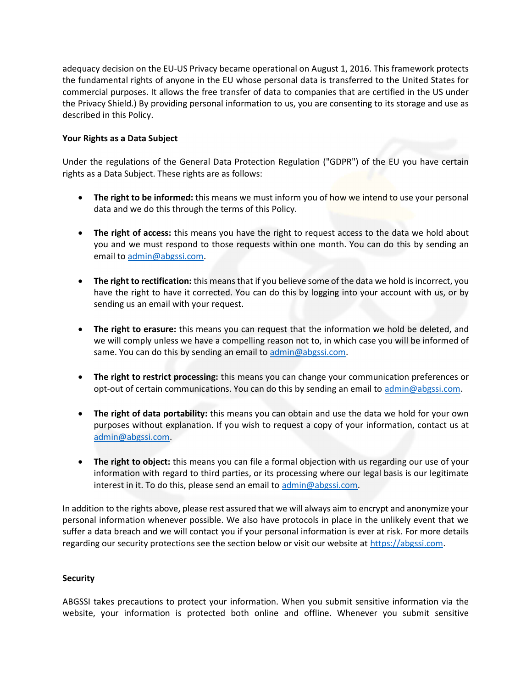adequacy decision on the EU-US Privacy became operational on August 1, 2016. This framework protects the fundamental rights of anyone in the EU whose personal data is transferred to the United States for commercial purposes. It allows the free transfer of data to companies that are certified in the US under the Privacy Shield.) By providing personal information to us, you are consenting to its storage and use as described in this Policy.

# Your Rights as a Data Subject

Under the regulations of the General Data Protection Regulation ("GDPR") of the EU you have certain rights as a Data Subject. These rights are as follows:

- The right to be informed: this means we must inform you of how we intend to use your personal data and we do this through the terms of this Policy.
- The right of access: this means you have the right to request access to the data we hold about you and we must respond to those requests within one month. You can do this by sending an email to admin@abgssi.com.
- The right to rectification: this means that if you believe some of the data we hold is incorrect, you have the right to have it corrected. You can do this by logging into your account with us, or by sending us an email with your request.
- The right to erasure: this means you can request that the information we hold be deleted, and we will comply unless we have a compelling reason not to, in which case you will be informed of same. You can do this by sending an email to admin@abgssi.com.
- The right to restrict processing: this means you can change your communication preferences or opt-out of certain communications. You can do this by sending an email to admin@abgssi.com.
- The right of data portability: this means you can obtain and use the data we hold for your own purposes without explanation. If you wish to request a copy of your information, contact us at admin@abgssi.com.
- The right to object: this means you can file a formal objection with us regarding our use of your information with regard to third parties, or its processing where our legal basis is our legitimate interest in it. To do this, please send an email to admin@abgssi.com.

In addition to the rights above, please rest assured that we will always aim to encrypt and anonymize your personal information whenever possible. We also have protocols in place in the unlikely event that we suffer a data breach and we will contact you if your personal information is ever at risk. For more details regarding our security protections see the section below or visit our website at https://abgssi.com.

# **Security**

ABGSSI takes precautions to protect your information. When you submit sensitive information via the website, your information is protected both online and offline. Whenever you submit sensitive